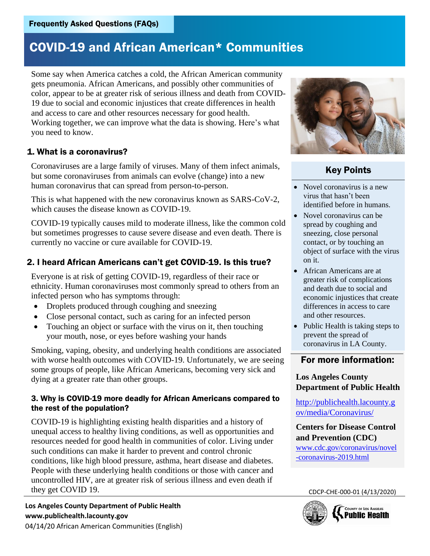Some say when America catches a cold, the African American community gets pneumonia. African Americans, and possibly other communities of color, appear to be at greater risk of serious illness and death from COVID-19 due to social and economic injustices that create differences in health and access to care and other resources necessary for good health. Working together, we can improve what the data is showing. Here's what you need to know.

#### 1. What is a coronavirus?

Coronaviruses are a large family of viruses. Many of them infect animals, but some coronaviruses from animals can evolve (change) into a new human coronavirus that can spread from person-to-person.

This is what happened with the new coronavirus known as SARS-CoV-2, which causes the disease known as COVID-19.

COVID-19 typically causes mild to moderate illness, like the common cold but sometimes progresses to cause severe disease and even death. There is currently no vaccine or cure available for COVID-19.

### 2. I heard African Americans can't get COVID-19. Is this true?

Everyone is at risk of getting COVID-19, regardless of their race or ethnicity. Human coronaviruses most commonly spread to others from an infected person who has symptoms through:

- Droplets produced through coughing and sneezing
- Close personal contact, such as caring for an infected person
- Touching an object or surface with the virus on it, then touching your mouth, nose, or eyes before washing your hands

Smoking, vaping, obesity, and underlying health conditions are associated with worse health outcomes with COVID-19. Unfortunately, we are seeing some groups of people, like African Americans, becoming very sick and dying at a greater rate than other groups.

#### 3. Why is COVID-19 more deadly for African Americans compared to the rest of the population?

Frequently Asked Questions (FAQs)<br> **COVID-19 and African America**<br>
Some say when America catches a cold, the<br>
gets pneumoin. African Americans, and possible color, appear to be at greater risk of serious i<br>
19 due to soci COVID-19 is highlighting existing health disparities and a history of unequal access to healthy living conditions, as well as opportunities and resources needed for good health in communities of color. Living under such conditions can make it harder to prevent and control chronic conditions, like high blood pressure, asthma, heart disease and diabetes. People with these underlying health conditions or those with cancer and uncontrolled HIV, are at greater risk of serious illness and even death if they get COVID 19.

**Los Angeles County Department of Public Health www.publichealth.lacounty.gov**



### Key Points

- Novel coronavirus is a new virus that hasn't been identified before in humans.
- Novel coronavirus can be spread by coughing and sneezing, close personal contact, or by touching an object of surface with the virus on it.
- African Americans are at greater risk of complications and death due to social and economic injustices that create differences in access to care and other resources.
- Public Health is taking steps to prevent the spread of coronavirus in LA County.

#### For more information:

#### **Los Angeles County Department of Public Health**

[http://publichealth.lacounty.g](http://publichealth.lacounty.gov/media/Coronavirus/) [ov/media/Coronavirus/](http://publichealth.lacounty.gov/media/Coronavirus/)

**Centers for Disease Control and Prevention (CDC)**  [www.cdc.gov/coronavirus/novel](http://www.cdc.gov/coronavirus/novel-coronavirus-2019.html) [-coronavirus-2019.html](http://www.cdc.gov/coronavirus/novel-coronavirus-2019.html)

CDCP-CHE-000-01 (4/13/2020)

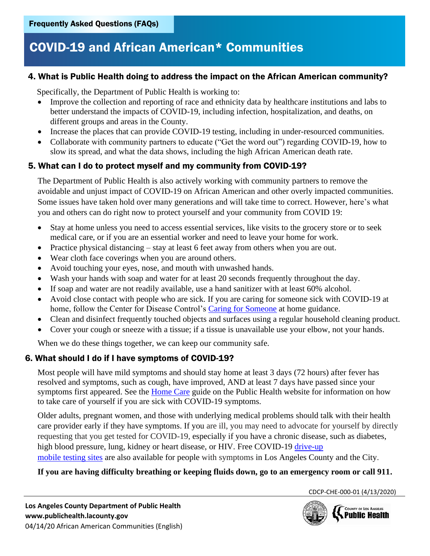#### 4. What is Public Health doing to address the impact on the African American community?

Specifically, the Department of Public Health is working to:

- Improve the collection and reporting of race and ethnicity data by healthcare institutions and labs to better understand the impacts of COVID-19, including infection, hospitalization, and deaths, on different groups and areas in the County.
- Increase the places that can provide COVID-19 testing, including in under-resourced communities.
- Collaborate with community partners to educate ("Get the word out") regarding COVID-19, how to slow its spread, and what the data shows, including the high African American death rate.

### 5. What can I do to protect myself and my community from COVID-19?

The Department of Public Health is also actively working with community partners to remove the avoidable and unjust impact of COVID-19 on African American and other overly impacted communities. Some issues have taken hold over many generations and will take time to correct. However, here's what you and others can do right now to protect yourself and your community from COVID 19:

- Stay at home unless you need to access essential services, like visits to the grocery store or to seek medical care, or if you are an essential worker and need to leave your home for work.
- Practice physical distancing stay at least 6 feet away from others when you are out.
- Wear cloth face coverings when you are around others.
- Avoid touching your eyes, nose, and mouth with unwashed hands.
- Wash your hands with soap and water for at least 20 seconds frequently throughout the day.
- If soap and water are not readily available, use a hand sanitizer with at least 60% alcohol.
- Avoid close contact with people who are sick. If you are caring for someone sick with COVID-19 at home, follow the Center for Disease Control's [Caring for Someone](https://www.cdc.gov/coronavirus/2019-ncov/if-you-are-sick/care-for-someone.html) at home guidance.
- Clean and disinfect frequently touched objects and surfaces using a regular household cleaning product.
- Cover your cough or sneeze with a tissue; if a tissue is unavailable use your elbow, not your hands.

When we do these things together, we can keep our community safe.

#### 6. What should I do if I have symptoms of COVID-19?

Most people will have mild symptoms and should stay home at least 3 days (72 hours) after fever has resolved and symptoms, such as cough, have improved, AND at least 7 days have passed since your symptoms first appeared. See the [Home Care](http://publichealth.lacounty.gov/acd/docs/COVHomeCare.pdf) guide on the Public Health website for information on how to take care of yourself if you are sick with COVID-19 symptoms.

Frequently Asked Questions (FAQs)<br> **COVID-19 and African Ame**<br>
4. What is Public Health doing to addre<br>
Specifically, the Department of Public Hea<br>
• Improve the collection and reporting of<br>
heter understand the impacts o Older adults, pregnant women, and those with underlying medical problems should talk with their health care provider early if they have symptoms. If you are ill, you may need to advocate for yourself by directly requesting that you get tested for COVID-19, especially if you have a chronic disease, such as diabetes, high blood pressure, lung, kidney or heart disease, or HIV. Free COVID-19 [drive-up](https://covid19.lacounty.gov/testing/) [mobile testing sites](https://covid19.lacounty.gov/testing/) are also available for people with symptoms in Los Angeles County and the City.

#### **If you are having difficulty breathing or keeping fluids down, go to an emergency room or call 911.**

CDCP-CHE-000-01 (4/13/2020)

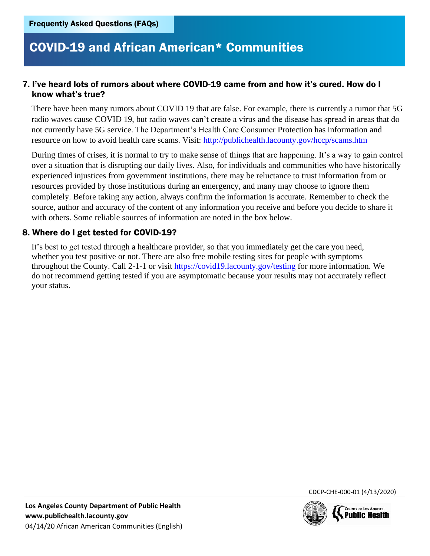#### 7. I've heard lots of rumors about where COVID-19 came from and how it's cured. How do I know what's true?

There have been many rumors about COVID 19 that are false. For example, there is currently a rumor that 5G radio waves cause COVID 19, but radio waves can't create a virus and the disease has spread in areas that do not currently have 5G service. The Department's Health Care Consumer Protection has information and resource on how to avoid health care scams. Visit:<http://publichealth.lacounty.gov/hccp/scams.htm>

Frequently Asked Questions (FAQs)<br> **COVID-19 and African Ame**<br> **COVID-19 and African Ame**<br> **COVID** ratio waves traveled to the many rumors about COVID<br>
radio waves cause COVID 19, but radio waves not correctly have 50 ter During times of crises, it is normal to try to make sense of things that are happening. It's a way to gain control over a situation that is disrupting our daily lives. Also, for individuals and communities who have historically experienced injustices from government institutions, there may be reluctance to trust information from or resources provided by those institutions during an emergency, and many may choose to ignore them completely. Before taking any action, always confirm the information is accurate. Remember to check the source, author and accuracy of the content of any information you receive and before you decide to share it with others. Some reliable sources of information are noted in the box below.

#### 8. Where do I get tested for COVID-19?

It's best to get tested through a healthcare provider, so that you immediately get the care you need, whether you test positive or not. There are also free mobile testing sites for people with symptoms throughout the County. Call 2-1-1 or visit [https://covid19.lacounty.gov/testing](https://covid19.lacounty.gov/testing/) for more information. We do not recommend getting tested if you are asymptomatic because your results may not accurately reflect your status.